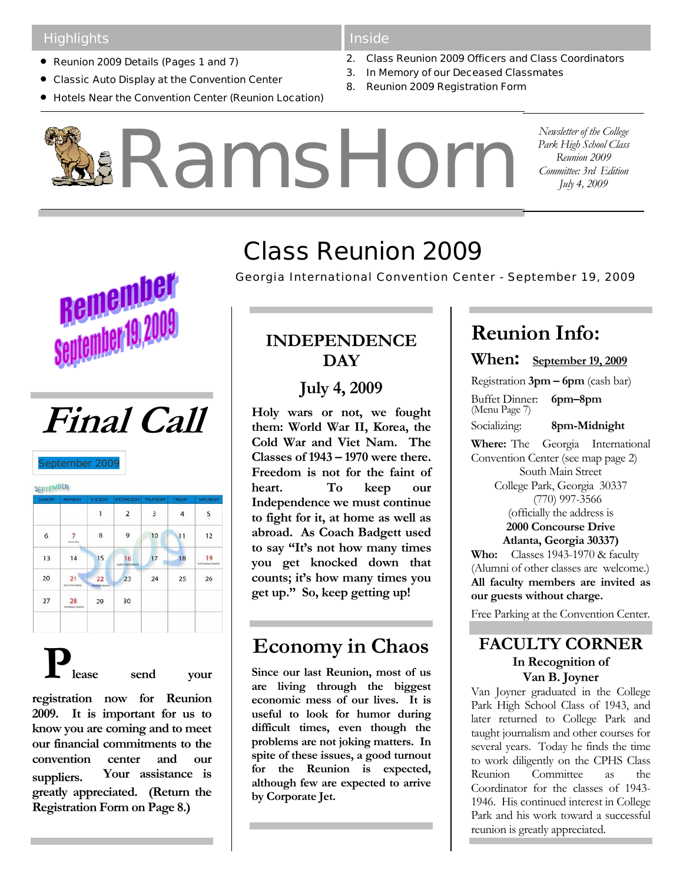### **Highlights**

- Reunion 2009 Details (Pages 1 and 7)
- Classic Auto Display at the Convention Center
- Hotels Near the Convention Center (Reunion Location)

#### Inside

- 2. Class Reunion 2009 Officers and Class Coordinators
- 3. In Memory of our Deceased Classmates
- 8. Reunion 2009 Registration Form

RamsHorn*Newsletter of the College Park High School Class Reunion 2009 Committee: 3rd Edition July 4, 2009* 

**Remember** ntember 19,20



September 200<sup>0</sup>

SEPTEMBER

| <b>SUNDAY</b> | <b>MONDAY</b>                  | <b>TUESDAY</b>              | WEDNESDAY THURSDAY             |    | <b>FRIDAY</b> | <b>SATURDAY</b>                 |
|---------------|--------------------------------|-----------------------------|--------------------------------|----|---------------|---------------------------------|
|               |                                | 1                           | $\overline{2}$                 | 3  | 4             | 5                               |
| 6             | <b>Lakesa Day</b>              | 8                           | 9                              | 10 | 11            | 12                              |
| 13            | 14                             | 15                          | 16<br>Light of Quili Illinoist | 17 | 18            | 19<br><b>Rock Harbara Grand</b> |
| 20            | 21<br>End al Fite Internity)   | 22<br><b>Adumni ripinis</b> | 23                             | 24 | 25            | 26                              |
| 27            | 28<br><b>Tom Keyne Unstald</b> | 29                          | 30                             |    |               |                                 |
|               |                                |                             |                                |    |               |                                 |

**Please send your** 

**registration now for Reunion 2009. It is important for us to know you are coming and to meet our financial commitments to the convention center and our suppliers. Your assistance is greatly appreciated. (Return the Registration Form on Page 8.)** 

# Class Reunion 2009

*Georgia International Convention Center - September 19, 2009*

### **INDEPENDENCE DAY**

**July 4, 2009** 

**Holy wars or not, we fought them: World War II, Korea, the Cold War and Viet Nam. The Classes of 1943 – 1970 were there. Freedom is not for the faint of heart. To keep our Independence we must continue to fight for it, at home as well as abroad. As Coach Badgett used to say "It's not how many times you get knocked down that counts; it's how many times you get up." So, keep getting up!** 

# **Economy in Chaos**

**Since our last Reunion, most of us are living through the biggest economic mess of our lives. It is useful to look for humor during difficult times, even though the problems are not joking matters. In spite of these issues, a good turnout for the Reunion is expected, although few are expected to arrive by Corporate Jet.** 

## **Reunion Info:**

**When: September 19, 2009**

Registration **3pm – 6pm** (cash bar)

Buffet Dinner: **6pm–8pm**  (Menu Page 7)

Socializing: **8pm-Midnight** 

**Where:** The Georgia International Convention Center (see map page 2) South Main Street College Park, Georgia 30337 (770) 997-3566 (officially the address is **2000 Concourse Drive Atlanta, Georgia 30337) Who:** Classes 1943-1970 & faculty

(Alumni of other classes are welcome.) **All faculty members are invited as our guests without charge.** 

Free Parking at the Convention Center.

### **FACULTY CORNER In Recognition of Van B. Joyner**

Van Joyner graduated in the College Park High School Class of 1943, and later returned to College Park and taught journalism and other courses for several years. Today he finds the time to work diligently on the CPHS Class Reunion Committee as the Coordinator for the classes of 1943- 1946. His continued interest in College Park and his work toward a successful reunion is greatly appreciated.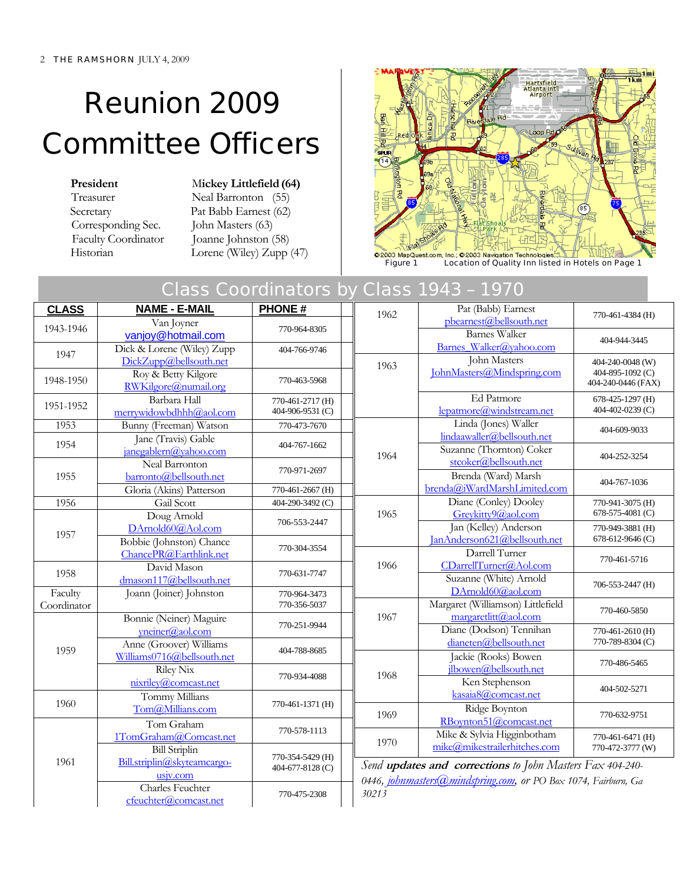# Reunion 2009 Committee Officers

Corresponding Sec. John Masters (63)<br>Faculty Coordinator Joanne Johnston (

**President** Mickey Littlefield (64) Treasurer Neal Barronton (55) Secretary Pat Babb Earnest (62) Joanne Johnston (58) Historian Lorene (Wiley) Zupp (47)



Figure 1 Location of Quality Inn listed in Hotels on Page 1

### Class Coordinators by Class 1943 – 1970

| <b>CLASS</b> | <b>NAME - E-MAIL</b>                               | <b>PHONE#</b>                                                  | 1962  | Pat (Babb) Earnest                                        | 770-461-4384 (H)                     |
|--------------|----------------------------------------------------|----------------------------------------------------------------|-------|-----------------------------------------------------------|--------------------------------------|
| 1943-1946    | Van Joyner                                         | 770-964-8305                                                   |       | pbearnest@bellsouth.net                                   |                                      |
|              | vanjoy@hotmail.com                                 |                                                                |       | <b>Barnes Walker</b>                                      | 404-944-3445                         |
| 1947         | Dick & Lorene (Wiley) Zupp                         | 404-766-9746                                                   |       | Barnes Walker@yahoo.com                                   |                                      |
|              | DickZupp@bellsouth.net                             |                                                                | 1963  | John Masters<br>JohnMasters@Mindspring.com                | 404-240-0048 (W)<br>404-895-1092 (C) |
| 1948-1950    | Roy & Betty Kilgore<br>RWKilgore@numail.org        | 770-463-5968                                                   |       |                                                           | 404-240-0446 (FAX)                   |
| 1951-1952    | Barbara Hall                                       | 770-461-2717 (H)                                               |       | Ed Patmore                                                | 678-425-1297 (H)                     |
|              | merrywidowbdhhh@aol.com                            | 404-906-9531 (C)                                               |       | lepatmore@windstream.net                                  | 404-402-0239 (C)                     |
| 1953         | Bunny (Freeman) Watson                             | 770-473-7670                                                   |       | Linda (Jones) Waller<br>lindaawaller@bellsouth.net        | 404-609-9033                         |
| 1954         | Jane (Travis) Gable<br>janegablern@yahoo.com       | 404-767-1662                                                   |       | Suzanne (Thornton) Coker                                  |                                      |
|              | Neal Barronton                                     |                                                                | 1964  | stcoker@bellsouth.net                                     | 404-252-3254                         |
| 1955         | barronto@bellsouth.net                             | 770-971-2697                                                   |       | Brenda (Ward) Marsh                                       | 404-767-1036                         |
|              | Gloria (Akins) Patterson                           | 770-461-2667 (H)                                               |       | brenda@iWardMarshLimited.com                              |                                      |
| 1956         | Gail Scott                                         | 404-290-3492 (C)                                               |       | Diane (Conley) Dooley                                     | 770-941-3075 (H)                     |
|              | Doug Arnold                                        | 706-553-2447                                                   | 1965  | Greykitty9@aol.com                                        | 678-575-4081 (C)                     |
| 1957         | DArnold60@Aol.com                                  |                                                                |       | Jan (Kelley) Anderson<br>JanAnderson621@bellsouth.net     | 770-949-3881 (H)<br>678-612-9646 (C) |
|              | Bobbie (Johnston) Chance<br>ChancePR@Earthlink.net | 770-304-3554                                                   |       | Darrell Turner                                            |                                      |
|              | David Mason                                        |                                                                | 1966  | CDarrellTurner@Aol.com                                    | 770-461-5716                         |
| 1958         | dmason117@bellsouth.net                            | 770-631-7747                                                   |       | Suzanne (White) Arnold                                    | 706-553-2447 (H)                     |
| Faculty      | Joann (Joiner) Johnston                            | 770-964-3473                                                   |       | DArnold60@aol.com                                         |                                      |
| Coordinator  |                                                    | 770-356-5037                                                   |       | Margaret (Williamson) Littlefield                         | 770-460-5850                         |
|              | Bonnie (Neiner) Maguire                            | 770-251-9944                                                   | 1967  | margaretlitt@aol.com                                      |                                      |
|              | yneiner@aol.com                                    |                                                                |       | Diane (Dodson) Tennihan                                   | 770-461-2610 (H)                     |
| 1959         | Anne (Groover) Williams                            | 404-788-8685                                                   |       | dianeten@bellsouth.net<br>Jackie (Rooks) Bowen            | 770-789-8304 (C)                     |
|              | Williams0716@bellsouth.net<br><b>Riley Nix</b>     |                                                                |       | ilbowen@bellsouth.net                                     | 770-486-5465                         |
|              | nixriley@comcast.net                               | 770-934-4088                                                   | 1968  | Ken Stephenson                                            |                                      |
|              | Tommy Millians                                     |                                                                |       | kasaia8@comcast.net                                       | 404-502-5271                         |
| 1960         | Tom@Millians.com                                   | 770-461-1371 (H)                                               | 1969  | Ridge Boynton                                             |                                      |
|              | Tom Graham                                         |                                                                |       | RBoynton51@comcast.net                                    | 770-632-9751                         |
|              | 1TomGraham@Comcast.net                             | 770-578-1113                                                   | 1970  | Mike & Sylvia Higginbotham                                | 770-461-6471 (H)                     |
|              | <b>Bill Striplin</b>                               | 770-354-5429 (H)                                               |       | mike@mikestrailerhitches.com                              | 770-472-3777 (W)                     |
| 1961         | Bill.striplin@skyteamcargo-                        | 404-677-8128 (C)                                               |       | Send updates and corrections to John Masters Fax 404-240- |                                      |
| usjv.com     |                                                    | 0446, johnmasters@mindspring.com, or PO Box 1074, Fairburn, Ga |       |                                                           |                                      |
|              | <b>Charles Feuchter</b>                            | 770-475-2308                                                   | 30213 |                                                           |                                      |
|              | cfeuchter@comcast.net                              |                                                                |       |                                                           |                                      |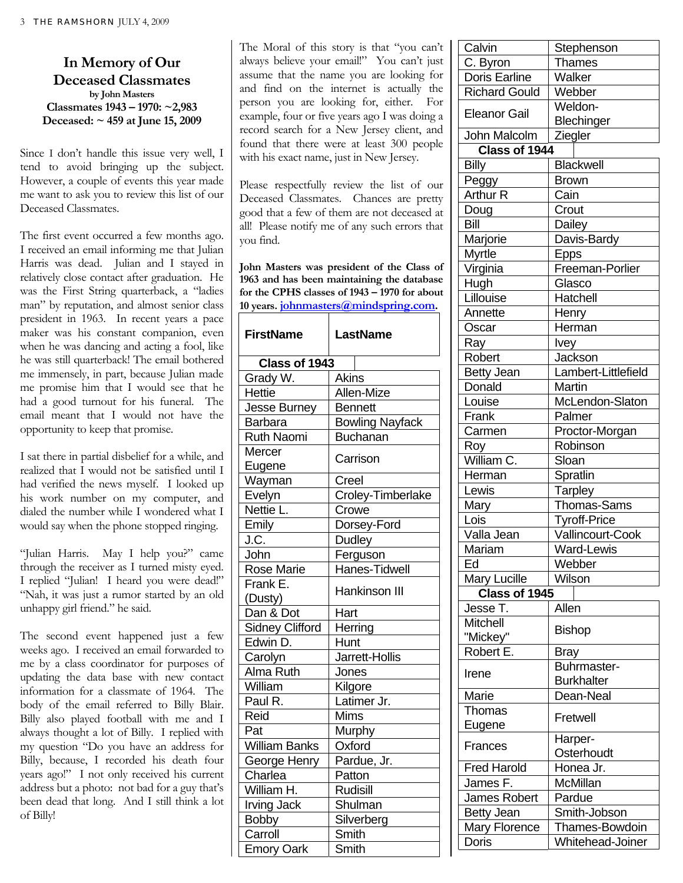**In Memory of Our Deceased Classmates by John Masters Classmates 1943 – 1970: ~2,983 Deceased: ~ 459 at June 15, 2009** 

Since I don't handle this issue very well, I tend to avoid bringing up the subject. However, a couple of events this year made me want to ask you to review this list of our Deceased Classmates.

The first event occurred a few months ago. I received an email informing me that Julian Harris was dead. Julian and I stayed in relatively close contact after graduation. He was the First String quarterback, a "ladies man" by reputation, and almost senior class president in 1963. In recent years a pace maker was his constant companion, even when he was dancing and acting a fool, like he was still quarterback! The email bothered me immensely, in part, because Julian made me promise him that I would see that he had a good turnout for his funeral. The email meant that I would not have the opportunity to keep that promise.

I sat there in partial disbelief for a while, and realized that I would not be satisfied until I had verified the news myself. I looked up his work number on my computer, and dialed the number while I wondered what I would say when the phone stopped ringing.

"Julian Harris. May I help you?" came through the receiver as I turned misty eyed. I replied "Julian! I heard you were dead!" "Nah, it was just a rumor started by an old unhappy girl friend." he said.

The second event happened just a few weeks ago. I received an email forwarded to me by a class coordinator for purposes of updating the data base with new contact information for a classmate of 1964. The body of the email referred to Billy Blair. Billy also played football with me and I always thought a lot of Billy. I replied with my question "Do you have an address for Billy, because, I recorded his death four years ago!" I not only received his current address but a photo: not bad for a guy that's been dead that long. And I still think a lot of Billy!

The Moral of this story is that "you can't always believe your email!" You can't just assume that the name you are looking for and find on the internet is actually the person you are looking for, either. For example, four or five years ago I was doing a record search for a New Jersey client, and found that there were at least 300 people with his exact name, just in New Jersey.

Please respectfully review the list of our Deceased Classmates. Chances are pretty good that a few of them are not deceased at all! Please notify me of any such errors that you find.

**John Masters was president of the Class of 1963 and has been maintaining the database for the CPHS classes of 1943 – 1970 for about 10 years. johnmasters@mindspring.com.** 

| <b>FirstName</b>       | <b>LastName</b>        |
|------------------------|------------------------|
| Class of 1943          |                        |
| Grady W.               | <b>Akins</b>           |
| <b>Hettie</b>          | Allen-Mize             |
| Jesse Burney           | <b>Bennett</b>         |
| <b>Barbara</b>         | <b>Bowling Nayfack</b> |
| <b>Ruth Naomi</b>      | <b>Buchanan</b>        |
| Mercer                 | Carrison               |
| Eugene                 |                        |
| Wayman                 | Creel                  |
| Evelyn                 | Croley-Timberlake      |
| Nettie L.              | Crowe                  |
| Emily                  | Dorsey-Ford            |
| J.C.                   | Dudley                 |
| John                   | Ferguson               |
| <b>Rose Marie</b>      | <b>Hanes-Tidwell</b>   |
| Frank E.               | Hankinson III          |
| (Dusty)                |                        |
| Dan & Dot              | Hart                   |
| <b>Sidney Clifford</b> | Herring                |
| Edwin D.               | Hunt                   |
| Carolyn                | Jarrett-Hollis         |
| Alma Ruth              | Jones                  |
| William                | Kilgore                |
| Paul R.                | Latimer Jr.            |
| Reid                   | Mims                   |
| Pat                    | Murphy                 |
| <b>William Banks</b>   | Oxford                 |
| George Henry           | Pardue, Jr.            |
| Charlea                | Patton                 |
| William H.             | <b>Rudisill</b>        |
| <b>Irving Jack</b>     | Shulman                |
| Bobby                  | Silverberg             |
| Carroll                | Smith                  |
| <b>Emory Oark</b>      | Smith                  |

| uu vii i             | י וטטו וטו וקטוט      |  |
|----------------------|-----------------------|--|
| C. Byron             | <b>Thames</b>         |  |
| Doris Earline        | Walker                |  |
| <b>Richard Gould</b> | Webber                |  |
| <b>Eleanor Gail</b>  | Weldon-<br>Blechinger |  |
| John Malcolm         | Ziegler               |  |
| Class of 1944        |                       |  |
| <b>Billy</b>         | <b>Blackwell</b>      |  |
| Peggy                | <b>Brown</b>          |  |
| <b>Arthur R</b>      | Cain                  |  |
| Doug                 | Crout                 |  |
| Bill                 | Dailey                |  |
| Marjorie             | Davis-Bardy           |  |
| <b>Myrtle</b>        | <b>Epps</b>           |  |
| Virginia             | Freeman-Porlier       |  |
| Hugh                 | Glasco                |  |
| Lillouise            | Hatchell              |  |
| Annette              | Henry                 |  |
| Oscar                | Herman                |  |
| Ray                  | Ivey                  |  |
| Robert               | Jackson               |  |
| Betty Jean           | Lambert-Littlefield   |  |
| Donald               | Martin                |  |
| Louise               | McLendon-Slaton       |  |
| Frank                | Palmer                |  |
| Carmen               | Proctor-Morgan        |  |
| Roy                  | Robinson              |  |
| William C.           | Sloan                 |  |
| Herman               | Spratlin              |  |
| Lewis                | Tarpley               |  |
| Mary                 | Thomas-Sams           |  |
| Lois                 | <b>Tyroff-Price</b>   |  |
| Valla Jean           | Vallincourt-Cook      |  |
| Mariam               | Ward-Lewis            |  |
| Ed                   | Webber                |  |
| <b>Mary Lucille</b>  | Wilson                |  |
| Class of 1945        |                       |  |
| Jesse T.             | Allen                 |  |
| <b>Mitchell</b>      |                       |  |
| "Mickey"             | <b>Bishop</b>         |  |
| Robert E.            | Bray                  |  |
|                      | Buhrmaster-           |  |
| Irene                | <b>Burkhalter</b>     |  |
| Marie                | Dean-Neal             |  |
| Thomas               |                       |  |
| Eugene               | Fretwell              |  |
| Frances              | Harper-               |  |
|                      | Osterhoudt            |  |
| <b>Fred Harold</b>   | Honea Jr.             |  |
| James F.             | McMillan              |  |
| James Robert         | Pardue                |  |
| <b>Betty Jean</b>    | Smith-Jobson          |  |
| Mary Florence        | Thames-Bowdoin        |  |
| Doris                | Whitehead-Joiner      |  |

Calvin Stephenson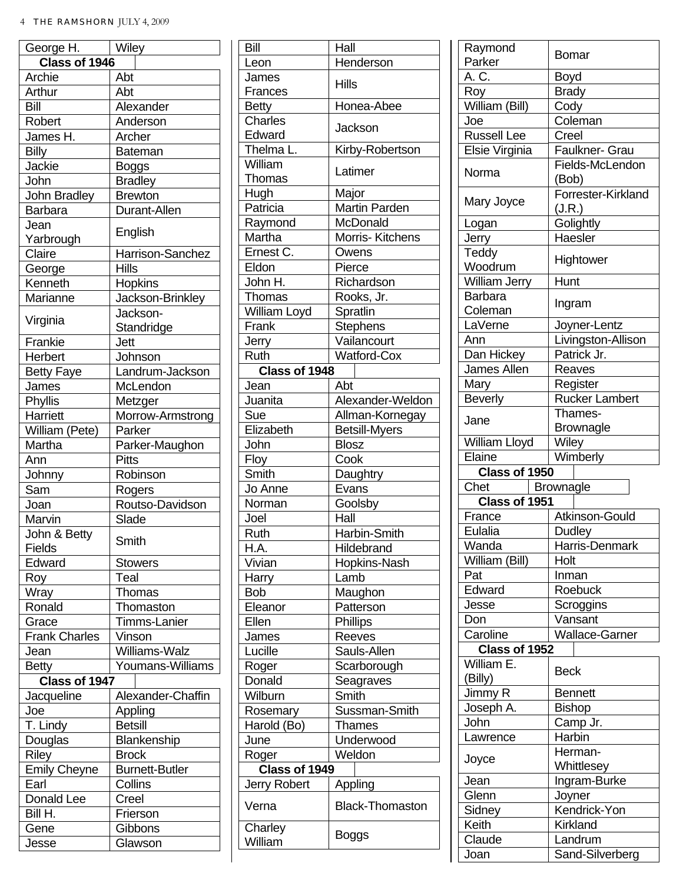| George H.            | Wiley                 |  |
|----------------------|-----------------------|--|
| Class of 1946        |                       |  |
| Archie               | Abt                   |  |
| Arthur               | Abt                   |  |
| Bill                 | Alexander             |  |
| Robert               | Anderson              |  |
| James H.             | Archer                |  |
| <b>Billy</b>         | <b>Bateman</b>        |  |
| Jackie               | Boggs                 |  |
| John                 | <b>Bradley</b>        |  |
| John Bradley         | <b>Brewton</b>        |  |
| Barbara              | Durant-Allen          |  |
| Jean                 |                       |  |
| Yarbrough            | English               |  |
| Claire               | Harrison-Sanchez      |  |
| George               | Hills                 |  |
| Kenneth              | Hopkins               |  |
| Marianne             | Jackson-Brinkley      |  |
|                      | Jackson-              |  |
| Virginia             | Standridge            |  |
| Frankie              | Jett                  |  |
| Herbert              | Johnson               |  |
| <b>Betty Faye</b>    | Landrum-Jackson       |  |
| James                | McLendon              |  |
|                      |                       |  |
| Phyllis              | Metzger               |  |
| Harriett             | Morrow-Armstrong      |  |
| William (Pete)       | Parker                |  |
| Martha               | Parker-Maughon        |  |
| Ann                  | <b>Pitts</b>          |  |
| Johnny               | Robinson              |  |
| Sam                  | Rogers                |  |
| Joan                 | Routso-Davidson       |  |
| Marvin               | Slade                 |  |
| John & Betty         | Smith                 |  |
| Fields               |                       |  |
| Edward               | <b>Stowers</b>        |  |
| Roy                  | Teal                  |  |
| Wray                 | Thomas                |  |
| Ronald               | Thomaston             |  |
| Grace                | Timms-Lanier          |  |
| <b>Frank Charles</b> | Vinson                |  |
| Jean                 | Williams-Walz         |  |
| <b>Betty</b>         | Youmans-Williams      |  |
| Class of 1947        |                       |  |
| Jacqueline           | Alexander-Chaffin     |  |
| Joe                  | Appling               |  |
| T. Lindy             | <b>Betsill</b>        |  |
| Douglas              | Blankenship           |  |
| Riley                | <b>Brock</b>          |  |
| <b>Emily Cheyne</b>  | <b>Burnett-Butler</b> |  |
| Earl                 | Collins               |  |
| Donald Lee           | Creel                 |  |
| Bill H.              | Frierson              |  |
| Gene                 | Gibbons               |  |
|                      |                       |  |
| Jesse                | Glawson               |  |

| Bill                | Hall                   |  |
|---------------------|------------------------|--|
| Leon                | Henderson              |  |
| James               | Hills                  |  |
| Frances             |                        |  |
| Betty               | Honea-Abee             |  |
| <b>Charles</b>      | Jackson                |  |
| Edward              |                        |  |
| Thelma L.           | Kirby-Robertson        |  |
| William             | Latimer                |  |
| Thomas              |                        |  |
| Hugh                | Major                  |  |
| Patricia            | Martin Parden          |  |
| Raymond             | McDonald               |  |
| Martha              | Morris-Kitchens        |  |
| Ernest C.           | Owens                  |  |
| Eldon               | Pierce                 |  |
| John H.             | Richardson             |  |
| Thomas              | Rooks, Jr.             |  |
| William Loyd        | Spratlin               |  |
| Frank               | <b>Stephens</b>        |  |
| Jerry               | Vailancourt            |  |
| Ruth                | <b>Watford-Cox</b>     |  |
| Class of 1948       |                        |  |
| Jean                | Abt                    |  |
| Juanita             | Alexander-Weldon       |  |
| Sue                 | Allman-Kornegay        |  |
| Elizabeth           | <b>Betsill-Myers</b>   |  |
| John                | <b>Blosz</b>           |  |
| Floy                | Cook                   |  |
| Smith               | Daughtry               |  |
| Jo Anne             | Evans                  |  |
| Norman              | Goolsby                |  |
| Joel                | Hall                   |  |
| Ruth                | Harbin-Smith           |  |
| H.A.                | Hildebrand             |  |
| Vivian              | Hopkins-Nash           |  |
|                     | Lamb                   |  |
| Harry<br><b>Bob</b> |                        |  |
| Eleanor             | Maughon                |  |
| Ellen               | Patterson              |  |
|                     | Phillips               |  |
| James               | Reeves                 |  |
| Lucille             | Sauls-Allen            |  |
| Roger               | Scarborough            |  |
| Donald              | Seagraves              |  |
| Wilburn             | Smith                  |  |
| Rosemary            | Sussman-Smith          |  |
| Harold (Bo)         | Thames                 |  |
| June                | Underwood              |  |
| Roger               | Weldon                 |  |
| Class of 1949       |                        |  |
| <b>Jerry Robert</b> | Appling                |  |
| Verna               | <b>Black-Thomaston</b> |  |
| Charley<br>William  | Boggs                  |  |

| Raymond                     | Bomar                        |  |
|-----------------------------|------------------------------|--|
| Parker                      |                              |  |
| A. C.                       | Boyd                         |  |
| Roy                         | <b>Brady</b>                 |  |
| William (Bill)              | Cody                         |  |
| Joe                         | Coleman                      |  |
| <b>Russell Lee</b>          | Creel                        |  |
| Elsie Virginia              | Faulkner- Grau               |  |
| Norma                       | Fields-McLendon<br>(Bob)     |  |
| Mary Joyce                  | Forrester-Kirkland<br>(J.R.) |  |
| Logan                       | Golightly                    |  |
| Jerry                       | Haesler                      |  |
| Teddy<br>Woodrum            | Hightower                    |  |
| <b>William Jerry</b>        | Hunt                         |  |
| <b>Barbara</b><br>Coleman   | Ingram                       |  |
| LaVerne                     | Joyner-Lentz                 |  |
| Ann                         | Livingston-Allison           |  |
| Dan Hickey                  | Patrick Jr.                  |  |
| James Allen                 | Reaves                       |  |
| Mary                        | Register                     |  |
| <b>Beverly</b>              | <b>Rucker Lambert</b>        |  |
|                             | Thames-                      |  |
| Jane                        | <b>Brownagle</b>             |  |
| William Lloyd               | Wiley                        |  |
|                             |                              |  |
|                             |                              |  |
| Elaine                      | Wimberly                     |  |
| Class of 1950               |                              |  |
| Chet                        | <b>Brownagle</b>             |  |
| Class of 1951               |                              |  |
| France                      | Atkinson-Gould               |  |
| Eulalia                     | <b>Dudley</b>                |  |
| Wanda                       | Harris-Denmark               |  |
| William (Bill)              | Holt                         |  |
| Pat                         | Inman                        |  |
| Edward                      | Roebuck                      |  |
| Jesse                       | Scroggins                    |  |
| Don                         | Vansant                      |  |
| Caroline                    | <b>Wallace-Garner</b>        |  |
| Class of 1952<br>William E. | <b>Beck</b>                  |  |
| (Billy)                     |                              |  |
| Jimmy R                     | Bennett                      |  |
| Joseph A.                   | <b>Bishop</b>                |  |
| John                        | Camp Jr.                     |  |
| Lawrence                    | Harbin                       |  |
| Joyce                       | Herman-<br>Whittlesey        |  |
| Jean                        | Ingram-Burke                 |  |
| Glenn                       | Joyner                       |  |
| Sidney                      | Kendrick-Yon                 |  |
| Keith                       | <b>Kirkland</b>              |  |
| Claude                      | Landrum                      |  |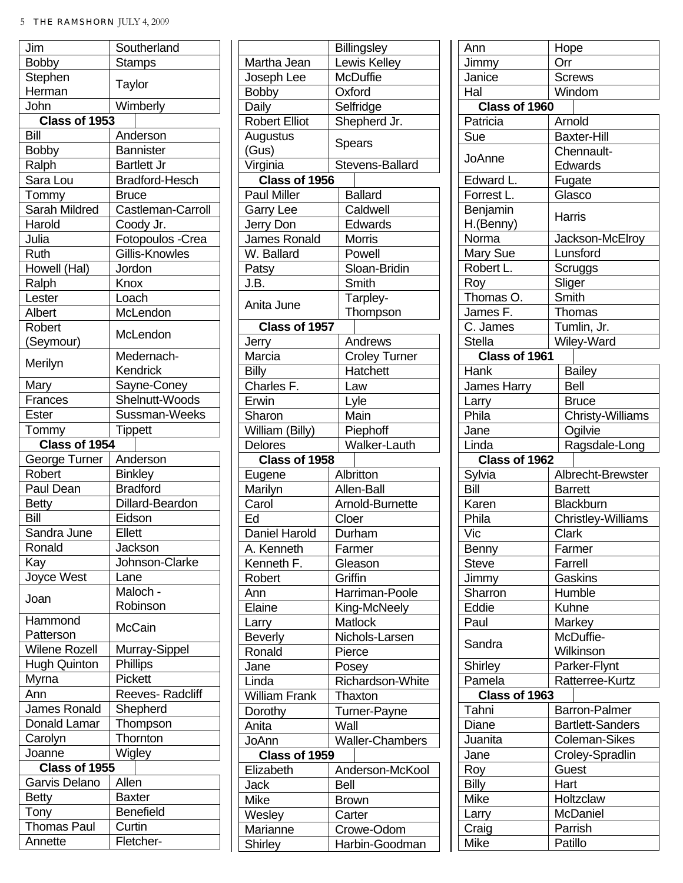| Jim                           | Southerland                |  |
|-------------------------------|----------------------------|--|
| <b>Bobby</b>                  | Stamps                     |  |
| Stephen                       |                            |  |
| Herman                        | Taylor                     |  |
| John                          | Wimberly                   |  |
| Class of 1953                 |                            |  |
| Bill                          | Anderson                   |  |
| <b>Bobby</b>                  | <b>Bannister</b>           |  |
| Ralph                         | <b>Bartlett Jr</b>         |  |
| Sara Lou                      | <b>Bradford-Hesch</b>      |  |
| Tommy                         | Bruce                      |  |
| Sarah Mildred                 | Castleman-Carroll          |  |
| Harold                        | Coody Jr.                  |  |
| Julia                         | Fotopoulos - Crea          |  |
| Ruth                          | Gillis-Knowles             |  |
| Howell (Hal)                  | Jordon                     |  |
| Ralph                         | Knox                       |  |
| Lester                        | Loach                      |  |
| Albert                        | McLendon                   |  |
| Robert                        |                            |  |
|                               | McLendon                   |  |
| (Seymour)                     | Medernach-                 |  |
| Merilyn                       |                            |  |
|                               | Kendrick                   |  |
| Mary                          | Sayne-Coney                |  |
| Frances                       | Shelnutt-Woods             |  |
| Ester                         | Sussman-Weeks              |  |
| Tommy                         | Tippett                    |  |
| Class of 1954                 |                            |  |
| George Turner                 | Anderson                   |  |
| Robert                        | <b>Binkley</b>             |  |
| Paul Dean                     | <b>Bradford</b>            |  |
| <b>Betty</b>                  | Dillard-Beardon            |  |
| Bill                          | Eidson                     |  |
| Sandra June                   | Ellett                     |  |
| Ronald                        | Jackson                    |  |
| Kay                           | Johnson-Clarke             |  |
| Joyce West                    | Lane                       |  |
|                               | Maloch -                   |  |
| Joan                          | Robinson                   |  |
| Hammond                       | <b>McCain</b>              |  |
| Patterson                     |                            |  |
| <b>Wilene Rozell</b>          | Murray-Sippel              |  |
| <b>Hugh Quinton</b>           | Phillips                   |  |
| Myrna                         | Pickett                    |  |
| Ann                           | Reeves-Radcliff            |  |
| James Ronald                  | Shepherd                   |  |
| Donald Lamar                  | Thompson                   |  |
| Carolyn                       | Thornton                   |  |
| Joanne                        | Wigley                     |  |
| Class of 1955                 |                            |  |
| Garvis Delano                 | Allen                      |  |
| <b>Betty</b>                  | Baxter                     |  |
|                               |                            |  |
| Tony                          | <b>Benefield</b><br>Curtin |  |
| <b>Thomas Paul</b><br>Annette | Fletcher-                  |  |
|                               |                            |  |

|                      | <b>Billingsley</b>           |  |
|----------------------|------------------------------|--|
| Martha Jean          | Lewis Kelley                 |  |
| Joseph Lee           | <b>McDuffie</b>              |  |
| <b>Bobby</b>         | Oxford                       |  |
| Daily                | Selfridge                    |  |
| <b>Robert Elliot</b> | Shepherd Jr.                 |  |
| Augustus             |                              |  |
| (Gus)                | Spears                       |  |
| Virginia             | Stevens-Ballard              |  |
| Class of 1956        |                              |  |
| <b>Paul Miller</b>   | <b>Ballard</b>               |  |
| <b>Garry Lee</b>     | Caldwell                     |  |
| Jerry Don            | Edwards                      |  |
| James Ronald         | Morris                       |  |
| W. Ballard           | Powell                       |  |
| Patsy                | Sloan-Bridin                 |  |
| J.B.                 | Smith                        |  |
|                      | Tarpley-                     |  |
| Anita June           | Thompson                     |  |
| Class of 1957        |                              |  |
| Jerry                | Andrews                      |  |
| Marcia               | <b>Croley Turner</b>         |  |
| Billy                | Hatchett                     |  |
| Charles F.           | Law                          |  |
| Erwin                | Lyle                         |  |
| Sharon               | Main                         |  |
| William (Billy)      | Piephoff                     |  |
| <b>Delores</b>       | <b>Walker-Lauth</b>          |  |
|                      |                              |  |
|                      |                              |  |
| Class of 1958        |                              |  |
| Eugene               | Albritton                    |  |
| Marilyn              | Allen-Ball                   |  |
| Carol                | Arnold-Burnette              |  |
| Ed                   | Cloer                        |  |
| <b>Daniel Harold</b> | Durham                       |  |
| A. Kenneth           | Farmer                       |  |
| Kenneth F.           | Gleason                      |  |
| Robert               | Griffin                      |  |
| Ann                  | Harriman-Poole               |  |
| Elaine               | King-McNeely                 |  |
| Larry                | <b>Matlock</b>               |  |
| <b>Beverly</b>       | Nichols-Larsen               |  |
| Ronald               | Pierce                       |  |
| Jane                 | Posey                        |  |
| Linda                | <b>Richardson-White</b>      |  |
| <b>William Frank</b> | Thaxton                      |  |
| Dorothy              | Turner-Payne                 |  |
| Anita                | Wall                         |  |
| JoAnn                | <b>Waller-Chambers</b>       |  |
| Class of 1959        |                              |  |
| Elizabeth            | Anderson-McKool              |  |
| Jack                 | Bell                         |  |
| Mike                 | <b>Brown</b>                 |  |
| Wesley               | Carter                       |  |
| Marianne<br>Shirley  | Crowe-Odom<br>Harbin-Goodman |  |

| Ann                   | Hope                      |  |
|-----------------------|---------------------------|--|
| Jimmy                 | Orr                       |  |
| Janice                | <b>Screws</b>             |  |
| Hal                   | Windom                    |  |
| Class of 1960         |                           |  |
| Patricia              | Arnold                    |  |
| Sue                   | <b>Baxter-Hill</b>        |  |
| JoAnne                | Chennault-                |  |
|                       | Edwards                   |  |
| Edward L.             | Fugate                    |  |
| Forrest L.            | Glasco                    |  |
| Benjamin<br>H.(Benny) | Harris                    |  |
| Norma                 | Jackson-McElroy           |  |
| Mary Sue              | Lunsford                  |  |
| Robert L.             | Scruggs                   |  |
| Roy                   | Sliger                    |  |
| Thomas O.             | Smith                     |  |
| James F.              | Thomas                    |  |
| C. James              | Tumlin, Jr.               |  |
| Stella                | Wiley-Ward                |  |
| Class of 1961         |                           |  |
| Hank                  | <b>Bailey</b>             |  |
| <b>James Harry</b>    | <b>Bell</b>               |  |
| Larry                 | <b>Bruce</b>              |  |
| Phila                 | Christy-Williams          |  |
|                       | Ogilvie                   |  |
| Jane<br>Linda         | Ragsdale-Long             |  |
|                       |                           |  |
|                       |                           |  |
| Class of 1962         |                           |  |
| Sylvia                | Albrecht-Brewster         |  |
| Bill                  | <b>Barrett</b>            |  |
| Karen                 | Blackburn                 |  |
| Phila                 | <b>Christley-Williams</b> |  |
| Vic                   | Clark                     |  |
| Benny                 | Farmer                    |  |
| Steve                 | Farrell                   |  |
| Jimmy                 | Gaskins                   |  |
| Sharron               | Humble                    |  |
| Eddie                 | Kuhne                     |  |
| Paul                  | Markey                    |  |
| Sandra                | McDuffie-<br>Wilkinson    |  |
| Shirley               | Parker-Flynt              |  |
| Pamela                | Ratterree-Kurtz           |  |
| Class of 1963         |                           |  |
| Tahni                 | <b>Barron-Palmer</b>      |  |
| Diane                 |                           |  |
|                       | <b>Bartlett-Sanders</b>   |  |
| Juanita               | Coleman-Sikes             |  |
| Jane                  | Croley-Spradlin           |  |
| Roy                   | Guest                     |  |
| <b>Billy</b>          | Hart                      |  |
| Mike                  | Holtzclaw                 |  |
| Larry                 | McDaniel                  |  |
| Craig<br>Mike         | Parrish<br>Patillo        |  |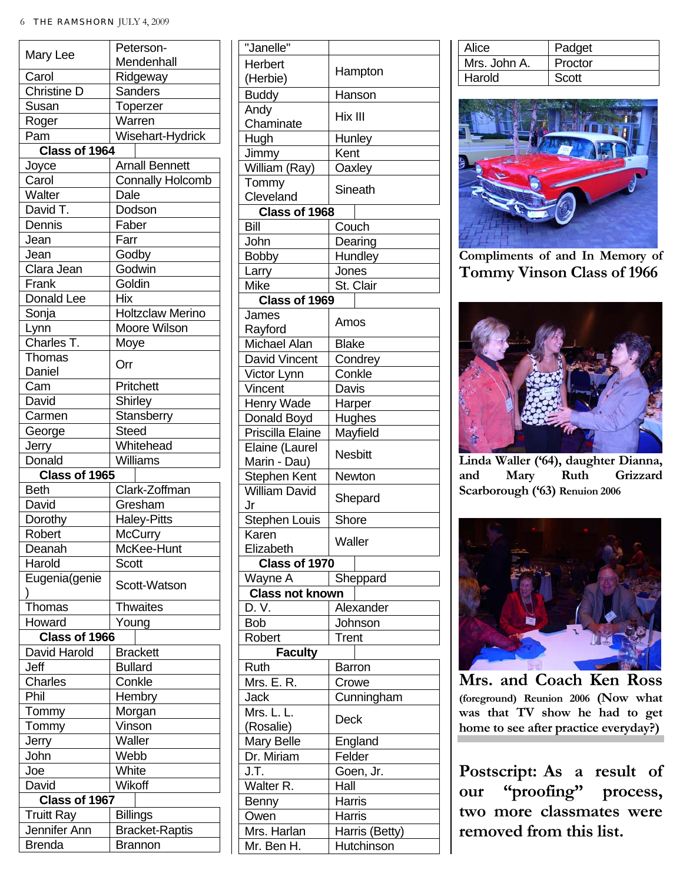|                    | Peterson-               |  |
|--------------------|-------------------------|--|
| Mary Lee           | Mendenhall              |  |
| Carol              | Ridgeway                |  |
| Christine D        | Sanders                 |  |
| Susan              | Toperzer                |  |
| Roger              | Warren                  |  |
| Pam                | Wisehart-Hydrick        |  |
| Class of 1964      |                         |  |
| Joyce              | <b>Arnall Bennett</b>   |  |
| Carol              | <b>Connally Holcomb</b> |  |
| Walter             | Dale                    |  |
| David T.           | Dodson                  |  |
| Dennis             | Faber                   |  |
| Jean               | Farr                    |  |
| Jean               | Godby                   |  |
| Clara Jean         | Godwin                  |  |
| Frank              | Goldin                  |  |
| Donald Lee         | <b>Hix</b>              |  |
| Sonja              | Holtzclaw Merino        |  |
|                    |                         |  |
| Lynn<br>Charles T. | Moore Wilson            |  |
|                    | Moye                    |  |
| Thomas             | Orr                     |  |
| Daniel             |                         |  |
| Cam                | Pritchett               |  |
| David              | Shirley                 |  |
| Carmen             | Stansberry              |  |
| George             | <b>Steed</b>            |  |
| Jerry              | Whitehead               |  |
| Donald             | Williams                |  |
| Class of 1965      |                         |  |
| <b>Beth</b>        | Clark-Zoffman           |  |
| David              | Gresham                 |  |
| Dorothy            | <b>Haley-Pitts</b>      |  |
| Robert             | McCurry                 |  |
| Deanah             | McKee-Hunt              |  |
| Harold             | Scott                   |  |
| Eugenia(genie      | Scott-Watson            |  |
|                    |                         |  |
| Thomas             | Thwaites                |  |
| Howard             | Young                   |  |
| Class of 1966      |                         |  |
| David Harold       | <b>Brackett</b>         |  |
| Jeff               | <b>Bullard</b>          |  |
| Charles            | Conkle                  |  |
| Phil               | Hembry                  |  |
| Tommy              | Morgan                  |  |
| Tommy              | Vinson                  |  |
| Jerry              | Waller                  |  |
| John               | Webb                    |  |
| Joe                | White                   |  |
|                    | Wikoff                  |  |
| David              |                         |  |
| Class of 1967      |                         |  |
| <b>Truitt Ray</b>  | <b>Billings</b>         |  |
| Jennifer Ann       | <b>Bracket-Raptis</b>   |  |
| Brenda             | <b>Brannon</b>          |  |

| "Janelle"                            |                |
|--------------------------------------|----------------|
| Herbert                              |                |
| (Herbie)                             | Hampton        |
| <b>Buddy</b>                         | Hanson         |
| Andy                                 | Hix III        |
| Chaminate                            |                |
| Hugh                                 | Hunley         |
| Jimmy                                | Kent           |
| William (Ray)                        | Oaxley         |
| Tommy                                | Sineath        |
| Cleveland                            |                |
| Class of 1968                        |                |
| Bill                                 | Couch          |
| John                                 | Dearing        |
| <b>Bobby</b>                         | Hundley        |
| Larry                                | Jones          |
| Mike                                 | St. Clair      |
| Class of 1969                        |                |
| James                                | Amos           |
| Rayford                              |                |
| Michael Alan                         | <b>Blake</b>   |
| David Vincent                        | Condrey        |
| Victor Lynn                          | Conkle         |
| Vincent                              | Davis          |
| Henry Wade                           | Harper         |
| Donald Boyd                          | Hughes         |
| Priscilla Elaine                     | Mayfield       |
| Elaine (Laurel                       | <b>Nesbitt</b> |
| Marin - Dau)                         |                |
| Stephen Kent<br><b>William David</b> | Newton         |
| Jr                                   | Shepard        |
| <b>Stephen Louis</b>                 | Shore          |
| Karen                                |                |
| Elizabeth                            | Waller         |
| Class of 1970                        |                |
| Wayne A                              | Sheppard       |
| <b>Class not known</b>               |                |
| D. V.                                | Alexander      |
| <b>Bob</b>                           | Johnson        |
| Robert                               | Trent          |
| <b>Faculty</b>                       |                |
| Ruth                                 | <b>Barron</b>  |
| Mrs. E. R.                           | Crowe          |
| Jack                                 | Cunningham     |
| Mrs. L. L                            | Deck           |
| (Rosalie)                            |                |
| <b>Mary Belle</b>                    | England        |
| Dr. Miriam                           | Felder         |
| J.T.                                 | Goen, Jr.      |
| Walter <sub>R.</sub>                 | Hall           |
| Benny                                | Harris         |
| Owen                                 | <b>Harris</b>  |
| Mrs. Harlan                          | Harris (Betty) |
| Mr. Ben H.                           | Hutchinson     |

| Alice        | Padget  |
|--------------|---------|
| Mrs. John A. | Proctor |
| l Harold     | Scott   |



**Compliments of and In Memory of Tommy Vinson Class of 1966**



**Linda Waller ('64), daughter Dianna, and Mary Ruth Grizzard Scarborough ('63) Renuion 2006**



**Mrs. and Coach Ken Ross (foreground) Reunion 2006 (Now what was that TV show he had to get home to see after practice everyday?)** 

**Postscript: As a result of our "proofing" process, two more classmates were removed from this list.**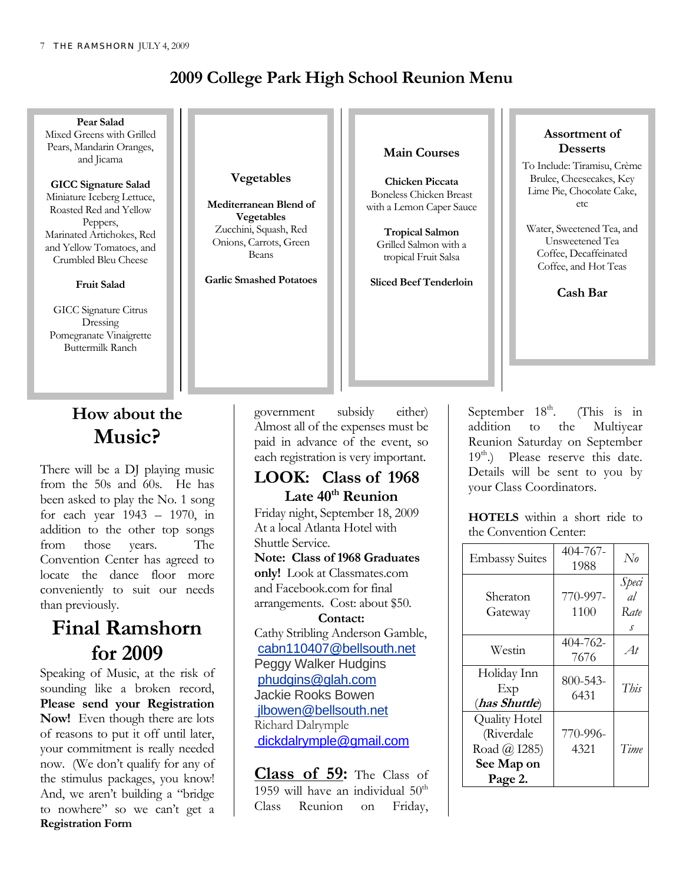### **2009 College Park High School Reunion Menu**



### **How about the Music?**

There will be a DJ playing music from the 50s and 60s. He has been asked to play the No. 1 song for each year 1943 – 1970, in addition to the other top songs from those years. The Convention Center has agreed to locate the dance floor more conveniently to suit our needs than previously.

# **Final Ramshorn for 2009**

Speaking of Music, at the risk of sounding like a broken record, **Please send your Registration Now!** Even though there are lots of reasons to put it off until later, your commitment is really needed now. (We don't qualify for any of the stimulus packages, you know! And, we aren't building a "bridge to nowhere" so we can't get a **Registration Form** 

government subsidy either) Almost all of the expenses must be paid in advance of the event, so each registration is very important.

**LOOK: Class of 1968** 

### Late 40<sup>th</sup> Reunion Friday night, September 18, 2009 At a local Atlanta Hotel with Shuttle Service. **Note: Class of 1968 Graduates only!** Look at Classmates.com and Facebook.com for final arrangements. Cost: about \$50. **Contact:**  Cathy Stribling Anderson Gamble, cabn110407@bellsouth.net Peggy Walker Hudgins phudgins@glah.com Jackie Rooks Bowen jlbowen@bellsouth.net Richard Dalrymple dickdalrymple@gmail.com

**Class of 59:** The Class of 1959 will have an individual  $50<sup>th</sup>$ Class Reunion on Friday,

September  $18<sup>th</sup>$ . (This is in addition to the Multiyear Reunion Saturday on September  $19<sup>th</sup>$ .) Please reserve this date. Details will be sent to you by your Class Coordinators.

**HOTELS** within a short ride to the Convention Center:

| <b>Embassy Suites</b>                                                       | 404-767-<br>1988 | $N_{0}$                  |
|-----------------------------------------------------------------------------|------------------|--------------------------|
| Sheraton<br>Gateway                                                         | 770-997-<br>1100 | Speci<br>al<br>Rate<br>s |
| Westin                                                                      | 404-762-<br>7676 | At                       |
| Holiday Inn<br>Exp<br>(has Shuttle)                                         | 800-543-<br>6431 | This                     |
| <b>Quality Hotel</b><br>(Riverdale<br>Road @ I285)<br>See Map on<br>Page 2. | 770-996-<br>4321 | Time                     |